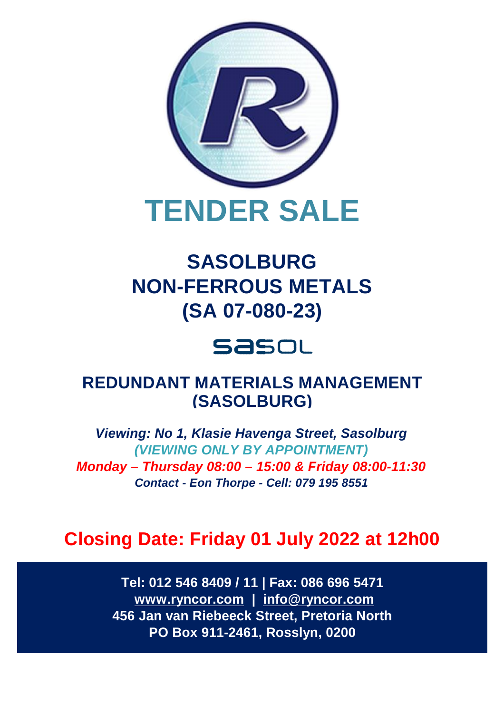

# **SASOLBURG NON-FERROUS METALS (SA 07-080-23)**

# **Sasol**

# **REDUNDANT MATERIALS MANAGEMENT (SASOLBURG)**

*Viewing: No 1, Klasie Havenga Street, Sasolburg (VIEWING ONLY BY APPOINTMENT) Monday – Thursday 08:00 – 15:00 & Friday 08:00-11:30 Contact - Eon Thorpe - Cell: 079 195 8551*

# **Closing Date: Friday 01 July 2022 at 12h00**

**Tel: 012 546 8409 / 11 | Fax: 086 696 5471 [www.ryncor.com](http://www.ryncor.com) | [info@ryncor.com](mailto:info@ryncor.com) 456 Jan van Riebeeck Street, Pretoria North PO Box 911-2461, Rosslyn, 0200**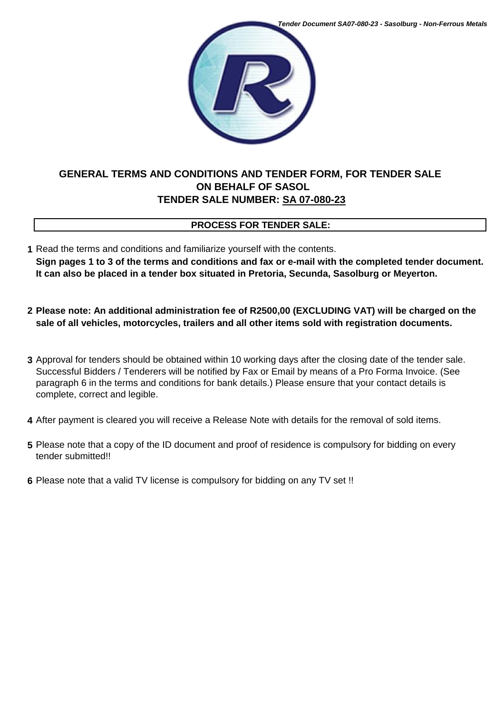

# **GENERAL TERMS AND CONDITIONS AND TENDER FORM, FOR TENDER SALE ON BEHALF OF SASOL TENDER SALE NUMBER: SA 07-080-23**

# **PROCESS FOR TENDER SALE:**

- **1** Read the terms and conditions and familiarize yourself with the contents. **Sign pages 1 to 3 of the terms and conditions and fax or e-mail with the completed tender document. It can also be placed in a tender box situated in Pretoria, Secunda, Sasolburg or Meyerton.**
- **2 Please note: An additional administration fee of R2500,00 (EXCLUDING VAT) will be charged on the sale of all vehicles, motorcycles, trailers and all other items sold with registration documents.**
- **3** Approval for tenders should be obtained within 10 working days after the closing date of the tender sale. Successful Bidders / Tenderers will be notified by Fax or Email by means of a Pro Forma Invoice. (See paragraph 6 in the terms and conditions for bank details.) Please ensure that your contact details is complete, correct and legible.
- **4** After payment is cleared you will receive a Release Note with details for the removal of sold items.
- **5** Please note that a copy of the ID document and proof of residence is compulsory for bidding on every tender submitted!!
- **6** Please note that a valid TV license is compulsory for bidding on any TV set !!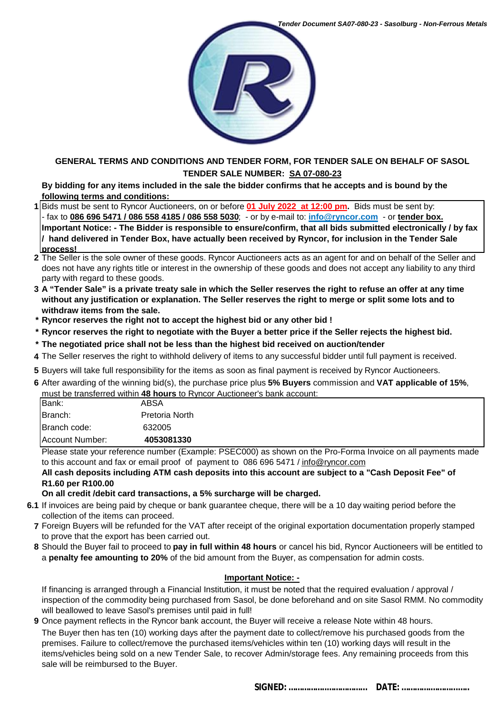

### **GENERAL TERMS AND CONDITIONS AND TENDER FORM, FOR TENDER SALE ON BEHALF OF SASOL TENDER SALE NUMBER: SA 07-080-23**

**By bidding for any items included in the sale the bidder confirms that he accepts and is bound by the following terms and conditions:**

- **1** Bids must be sent to Ryncor Auctioneers, on or before **01 July 2022 at 12:00 pm.** Bids must be sent by: - fax to **086 696 5471 / 086 558 4185 / 086 558 5030**; - or by e-mail to: **[info@ryncor.com](mailto:info@ryncor.com)** - or **tender box. Important Notice: - The Bidder is responsible to ensure/confirm, that all bids submitted electronically / by fax / hand delivered in Tender Box, have actually been received by Ryncor, for inclusion in the Tender Sale process!**
- **2** The Seller is the sole owner of these goods. Ryncor Auctioneers acts as an agent for and on behalf of the Seller and does not have any rights title or interest in the ownership of these goods and does not accept any liability to any third party with regard to these goods.
- **3 A "Tender Sale" is a private treaty sale in which the Seller reserves the right to refuse an offer at any time without any justification or explanation. The Seller reserves the right to merge or split some lots and to withdraw items from the sale.**
- **\* Ryncor reserves the right not to accept the highest bid or any other bid !**
- **\* Ryncor reserves the right to negotiate with the Buyer a better price if the Seller rejects the highest bid.**
- **\* The negotiated price shall not be less than the highest bid received on auction/tender**
- **4** The Seller reserves the right to withhold delivery of items to any successful bidder until full payment is received.
- **5** Buyers will take full responsibility for the items as soon as final payment is received by Ryncor Auctioneers.
- **6** After awarding of the winning bid(s), the purchase price plus **5% Buyers** commission and **VAT applicable of 15%**, must be transferred within **48 hours** to Ryncor Auctioneer's bank account:

| Branch:                         | Pretoria North       |
|---------------------------------|----------------------|
| Branch code:<br>Account Number: | 632005<br>4053081330 |
|                                 |                      |

Please state your reference number (Example: PSEC000) as shown on the Pro-Forma Invoice on all payments made to this account and fax or email proof of payment to 086 696 5471 / [info@ryncor.com](mailto:info@ryncor.com)

**All cash deposits including ATM cash deposits into this account are subject to a "Cash Deposit Fee" of R1.60 per R100.00** 

**On all credit /debit card transactions, a 5% surcharge will be charged.**

- **6.1** If invoices are being paid by cheque or bank guarantee cheque, there will be a 10 day waiting period before the collection of the items can proceed.
- **7** Foreign Buyers will be refunded for the VAT after receipt of the original exportation documentation properly stamped to prove that the export has been carried out.
- **8** Should the Buyer fail to proceed to **pay in full within 48 hours** or cancel his bid, Ryncor Auctioneers will be entitled to a **penalty fee amounting to 20%** of the bid amount from the Buyer, as compensation for admin costs.

### **Important Notice: -**

If financing is arranged through a Financial Institution, it must be noted that the required evaluation / approval / inspection of the commodity being purchased from Sasol, be done beforehand and on site Sasol RMM. No commodity will beallowed to leave Sasol's premises until paid in full!

- **9** Once payment reflects in the Ryncor bank account, the Buyer will receive a release Note within 48 hours.
- The Buyer then has ten (10) working days after the payment date to collect/remove his purchased goods from the premises. Failure to collect/remove the purchased items/vehicles within ten (10) working days will result in the items/vehicles being sold on a new Tender Sale, to recover Admin/storage fees. Any remaining proceeds from this sale will be reimbursed to the Buyer.

**SIGNED: ……………..……………... DATE: ………….………...…..**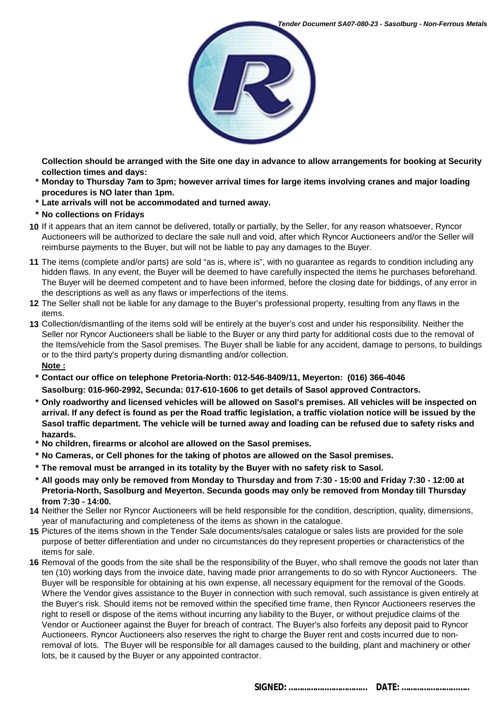

**Collection should be arranged with the Site one day in advance to allow arrangements for booking at Security collection times and days:**

- **\* Monday to Thursday 7am to 3pm; however arrival times for large items involving cranes and major loading procedures is NO later than 1pm.**
- **\* Late arrivals will not be accommodated and turned away.**
- **\* No collections on Fridays**
- **10** If it appears that an item cannot be delivered, totally or partially, by the Seller, for any reason whatsoever, Ryncor Auctioneers will be authorized to declare the sale null and void, after which Ryncor Auctioneers and/or the Seller will reimburse payments to the Buyer, but will not be liable to pay any damages to the Buyer.
- **11** The items (complete and/or parts) are sold "as is, where is", with no guarantee as regards to condition including any hidden flaws. In any event, the Buyer will be deemed to have carefully inspected the items he purchases beforehand. The Buyer will be deemed competent and to have been informed, before the closing date for biddings, of any error in the descriptions as well as any flaws or imperfections of the items.
- **12** The Seller shall not be liable for any damage to the Buyer's professional property, resulting from any flaws in the items.
- **13** Collection/dismantling of the items sold will be entirely at the buyer's cost and under his responsibility. Neither the Seller nor Ryncor Auctioneers shall be liable to the Buyer or any third party for additional costs due to the removal of the Items/vehicle from the Sasol premises. The Buyer shall be liable for any accident, damage to persons, to buildings or to the third party's property during dismantling and/or collection. **Note :**
	- **\* Contact our office on telephone Pretoria-North: 012-546-8409/11, Meyerton: (016) 366-4046 Sasolburg: 016-960-2992, Secunda: 017-610-1606 to get details of Sasol approved Contractors.**
	- **\* Only roadworthy and licensed vehicles will be allowed on Sasol's premises. All vehicles will be inspected on arrival. If any defect is found as per the Road traffic legislation, a traffic violation notice will be issued by the Sasol traffic department. The vehicle will be turned away and loading can be refused due to safety risks and hazards.**
	- **\* No children, firearms or alcohol are allowed on the Sasol premises.**
	- **\* No Cameras, or Cell phones for the taking of photos are allowed on the Sasol premises.**
	- **\* The removal must be arranged in its totality by the Buyer with no safety risk to Sasol.**
	- **\* All goods may only be removed from Monday to Thursday and from 7:30 15:00 and Friday 7:30 12:00 at Pretoria-North, Sasolburg and Meyerton. Secunda goods may only be removed from Monday till Thursday from 7:30 - 14:00.**
- **14** Neither the Seller nor Ryncor Auctioneers will be held responsible for the condition, description, quality, dimensions, year of manufacturing and completeness of the items as shown in the catalogue.
- **15** Pictures of the items shown in the Tender Sale documents/sales catalogue or sales lists are provided for the sole purpose of better differentiation and under no circumstances do they represent properties or characteristics of the items for sale.
- **16** Removal of the goods from the site shall be the responsibility of the Buyer, who shall remove the goods not later than ten (10) working days from the invoice date, having made prior arrangements to do so with Ryncor Auctioneers. The Buyer will be responsible for obtaining at his own expense, all necessary equipment for the removal of the Goods. Where the Vendor gives assistance to the Buyer in connection with such removal, such assistance is given entirely at the Buyer's risk. Should items not be removed within the specified time frame, then Ryncor Auctioneers reserves the right to resell or dispose of the items without incurring any liability to the Buyer, or without prejudice claims of the Vendor or Auctioneer against the Buyer for breach of contract. The Buyer's also forfeits any deposit paid to Ryncor Auctioneers. Ryncor Auctioneers also reserves the right to charge the Buyer rent and costs incurred due to nonremoval of lots. The Buyer will be responsible for all damages caused to the building, plant and machinery or other lots, be it caused by the Buyer or any appointed contractor.

**SIGNED: ……………..……………... DATE: ………….………...…..**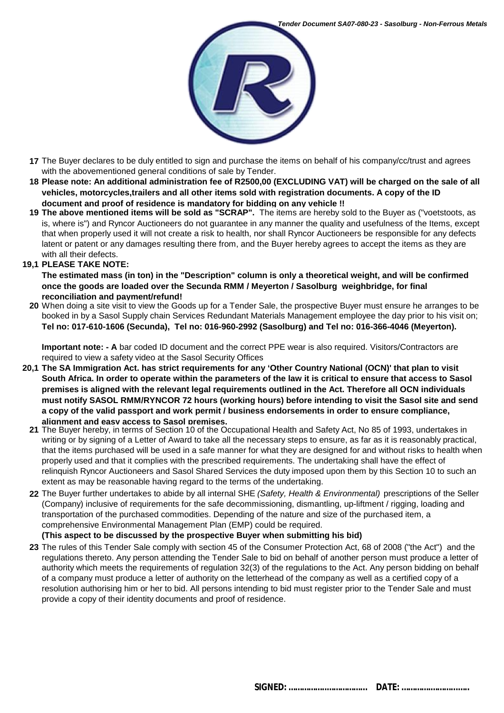

- **17** The Buyer declares to be duly entitled to sign and purchase the items on behalf of his company/cc/trust and agrees with the abovementioned general conditions of sale by Tender.
- **18 Please note: An additional administration fee of R2500,00 (EXCLUDING VAT) will be charged on the sale of all vehicles, motorcycles,trailers and all other items sold with registration documents. A copy of the ID document and proof of residence is mandatory for bidding on any vehicle !!**
- **19 The above mentioned items will be sold as "SCRAP".** The items are hereby sold to the Buyer as ("voetstoots, as is, where is") and Ryncor Auctioneers do not guarantee in any manner the quality and usefulness of the Items, except that when properly used it will not create a risk to health, nor shall Ryncor Auctioneers be responsible for any defects latent or patent or any damages resulting there from, and the Buyer hereby agrees to accept the items as they are with all their defects.
- **19,1 PLEASE TAKE NOTE:**

**The estimated mass (in ton) in the "Description" column is only a theoretical weight, and will be confirmed once the goods are loaded over the Secunda RMM / Meyerton / Sasolburg weighbridge, for final reconciliation and payment/refund!**

**20** When doing a site visit to view the Goods up for a Tender Sale, the prospective Buyer must ensure he arranges to be booked in by a Sasol Supply chain Services Redundant Materials Management employee the day prior to his visit on; **Tel no: 017-610-1606 (Secunda), Tel no: 016-960-2992 (Sasolburg) and Tel no: 016-366-4046 (Meyerton).** 

**Important note: - A** bar coded ID document and the correct PPE wear is also required. Visitors/Contractors are required to view a safety video at the Sasol Security Offices

- **20,1 The SA Immigration Act. has strict requirements for any 'Other Country National (OCN)' that plan to visit South Africa. In order to operate within the parameters of the law it is critical to ensure that access to Sasol premises is aligned with the relevant legal requirements outlined in the Act. Therefore all OCN individuals must notify SASOL RMM/RYNCOR 72 hours (working hours) before intending to visit the Sasol site and send a copy of the valid passport and work permit / business endorsements in order to ensure compliance, alignment and easy access to Sasol premises.**
	- **21** The Buyer hereby, in terms of Section 10 of the Occupational Health and Safety Act, No 85 of 1993, undertakes in writing or by signing of a Letter of Award to take all the necessary steps to ensure, as far as it is reasonably practical, that the items purchased will be used in a safe manner for what they are designed for and without risks to health when properly used and that it complies with the prescribed requirements. The undertaking shall have the effect of relinquish Ryncor Auctioneers and Sasol Shared Services the duty imposed upon them by this Section 10 to such an extent as may be reasonable having regard to the terms of the undertaking.
	- **22** The Buyer further undertakes to abide by all internal SHE *(Safety, Health & Environmental)* prescriptions of the Seller (Company) inclusive of requirements for the safe decommissioning, dismantling, up-liftment / rigging, loading and transportation of the purchased commodities. Depending of the nature and size of the purchased item, a comprehensive Environmental Management Plan (EMP) could be required.

**(This aspect to be discussed by the prospective Buyer when submitting his bid)**

**23** The rules of this Tender Sale comply with section 45 of the Consumer Protection Act, 68 of 2008 ("the Act") and the regulations thereto. Any person attending the Tender Sale to bid on behalf of another person must produce a letter of authority which meets the requirements of regulation 32(3) of the regulations to the Act. Any person bidding on behalf of a company must produce a letter of authority on the letterhead of the company as well as a certified copy of a resolution authorising him or her to bid. All persons intending to bid must register prior to the Tender Sale and must provide a copy of their identity documents and proof of residence.

**SIGNED: ……………..……………... DATE: ………….………...…..**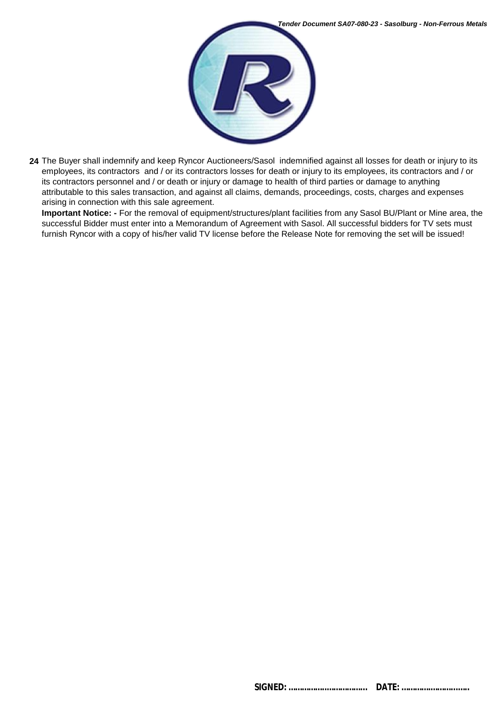

**24** The Buyer shall indemnify and keep Ryncor Auctioneers/Sasol indemnified against all losses for death or injury to its employees, its contractors and / or its contractors losses for death or injury to its employees, its contractors and / or its contractors personnel and / or death or injury or damage to health of third parties or damage to anything attributable to this sales transaction, and against all claims, demands, proceedings, costs, charges and expenses arising in connection with this sale agreement.

**Important Notice: -** For the removal of equipment/structures/plant facilities from any Sasol BU/Plant or Mine area, the successful Bidder must enter into a Memorandum of Agreement with Sasol. All successful bidders for TV sets must furnish Ryncor with a copy of his/her valid TV license before the Release Note for removing the set will be issued!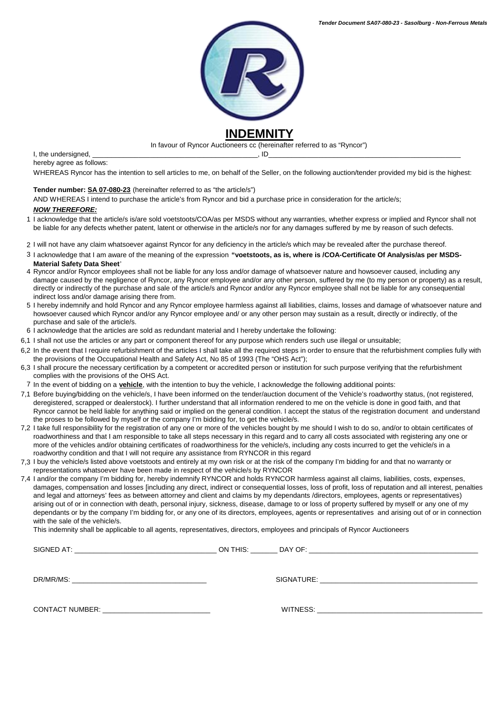

In favour of Ryncor Auctioneers cc (hereinafter referred to as "Ryncor")

I, the undersigned,  $\Box$ hereby agree as follows:

WHEREAS Ryncor has the intention to sell articles to me, on behalf of the Seller, on the following auction/tender provided my bid is the highest:

#### **Tender number: SA 07-080-23** (hereinafter referred to as "the article/s")

AND WHEREAS I intend to purchase the article's from Ryncor and bid a purchase price in consideration for the article/s;

#### *NOW THEREFORE:*

- 1 I acknowledge that the article/s is/are sold voetstoots/COA/as per MSDS without any warranties, whether express or implied and Ryncor shall not be liable for any defects whether patent, latent or otherwise in the article/s nor for any damages suffered by me by reason of such defects.
- 2 I will not have any claim whatsoever against Ryncor for any deficiency in the article/s which may be revealed after the purchase thereof.
- 3 I acknowledge that I am aware of the meaning of the expression **"voetstoots, as is, where is /COA-Certificate Of Analysis/as per MSDS-Material Safety Data Sheet**'
- 4 Ryncor and/or Ryncor employees shall not be liable for any loss and/or damage of whatsoever nature and howsoever caused, including any damage caused by the negligence of Ryncor, any Ryncor employee and/or any other person, suffered by me (to my person or property) as a result, directly or indirectly of the purchase and sale of the article/s and Ryncor and/or any Ryncor employee shall not be liable for any consequential indirect loss and/or damage arising there from.
- 5 I hereby indemnify and hold Ryncor and any Ryncor employee harmless against all liabilities, claims, losses and damage of whatsoever nature and howsoever caused which Ryncor and/or any Ryncor employee and/ or any other person may sustain as a result, directly or indirectly, of the purchase and sale of the article/s.
- 6 I acknowledge that the articles are sold as redundant material and I hereby undertake the following:
- 6,1 I shall not use the articles or any part or component thereof for any purpose which renders such use illegal or unsuitable;
- 6,2 In the event that I require refurbishment of the articles I shall take all the required steps in order to ensure that the refurbishment complies fully with the provisions of the Occupational Health and Safety Act, No 85 of 1993 (The "OHS Act");
- 6,3 I shall procure the necessary certification by a competent or accredited person or institution for such purpose verifying that the refurbishment complies with the provisions of the OHS Act.
- 7 In the event of bidding on a **vehicle**, with the intention to buy the vehicle, I acknowledge the following additional points:
- 7,1 Before buying/bidding on the vehicle/s, I have been informed on the tender/auction document of the Vehicle's roadworthy status, (not registered, deregistered, scrapped or dealerstock). I further understand that all information rendered to me on the vehicle is done in good faith, and that Ryncor cannot be held liable for anything said or implied on the general condition. I accept the status of the registration document and understand the proses to be followed by myself or the company I'm bidding for, to get the vehicle/s.
- 7,2 I take full responsibility for the registration of any one or more of the vehicles bought by me should I wish to do so, and/or to obtain certificates of roadworthiness and that I am responsible to take all steps necessary in this regard and to carry all costs associated with registering any one or more of the vehicles and/or obtaining certificates of roadworthiness for the vehicle/s, including any costs incurred to get the vehicle/s in a roadworthy condition and that I will not require any assistance from RYNCOR in this regard
- 7,3 I buy the vehicle/s listed above voetstoots and entirely at my own risk or at the risk of the company I'm bidding for and that no warranty or representations whatsoever have been made in respect of the vehicle/s by RYNCOR
- 7,4 I and/or the company I'm bidding for, hereby indemnify RYNCOR and holds RYNCOR harmless against all claims, liabilities, costs, expenses, damages, compensation and losses [including any direct, indirect or consequential losses, loss of profit, loss of reputation and all interest, penalties and legal and attorneys' fees as between attorney and client and claims by my dependants /directors, employees, agents or representatives) arising out of or in connection with death, personal injury, sickness, disease, damage to or loss of property suffered by myself or any one of my dependants or by the company I'm bidding for, or any one of its directors, employees, agents or representatives and arising out of or in connection with the sale of the vehicle/s.

This indemnity shall be applicable to all agents, representatives, directors, employees and principals of Ryncor Auctioneers

SIGNED AT: \_\_\_\_\_\_\_\_\_\_\_\_\_\_\_\_\_\_\_\_\_\_\_\_\_\_\_\_\_\_\_\_\_\_\_\_\_ ON THIS: \_\_\_\_\_\_\_ DAY OF: \_\_\_\_\_\_\_\_\_\_\_\_\_\_\_\_\_\_\_\_\_\_\_\_\_\_\_\_\_\_\_\_\_\_\_\_\_\_\_\_\_\_\_\_  $\textsf{DRMR/MS:}\_\textsf{I}$ CONTACT NUMBER: \_\_\_\_\_\_\_\_\_\_\_\_\_\_\_\_\_\_\_\_\_\_\_\_\_\_\_\_ WITNESS: \_\_\_\_\_\_\_\_\_\_\_\_\_\_\_\_\_\_\_\_\_\_\_\_\_\_\_\_\_\_\_\_\_\_\_\_\_\_\_\_\_\_\_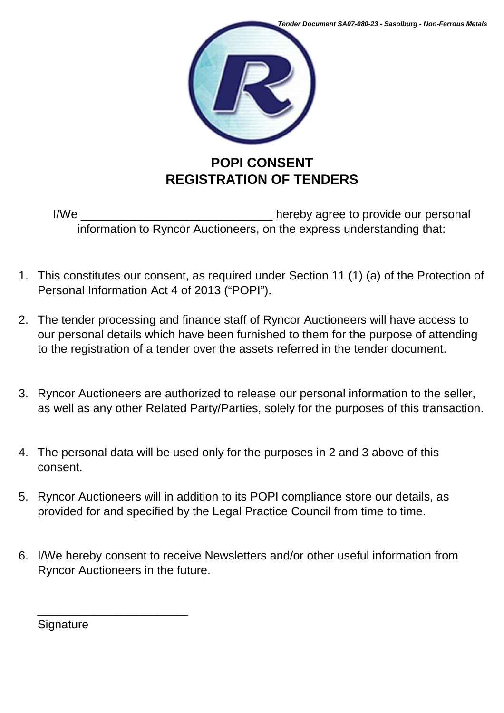

I/We \_\_\_\_\_\_\_\_\_\_\_\_\_\_\_\_\_\_\_\_\_\_\_\_\_\_\_\_\_ hereby agree to provide our personal information to Ryncor Auctioneers, on the express understanding that:

- 1. This constitutes our consent, as required under Section 11 (1) (a) of the Protection of Personal Information Act 4 of 2013 ("POPI").
- 2. The tender processing and finance staff of Ryncor Auctioneers will have access to our personal details which have been furnished to them for the purpose of attending to the registration of a tender over the assets referred in the tender document.
- 3. Ryncor Auctioneers are authorized to release our personal information to the seller, as well as any other Related Party/Parties, solely for the purposes of this transaction.
- 4. The personal data will be used only for the purposes in 2 and 3 above of this consent.
- 5. Ryncor Auctioneers will in addition to its POPI compliance store our details, as provided for and specified by the Legal Practice Council from time to time.
- 6. I/We hereby consent to receive Newsletters and/or other useful information from Ryncor Auctioneers in the future.

**Signature** 

\_\_\_\_\_\_\_\_\_\_\_\_\_\_\_\_\_\_\_\_\_\_\_\_\_\_\_\_\_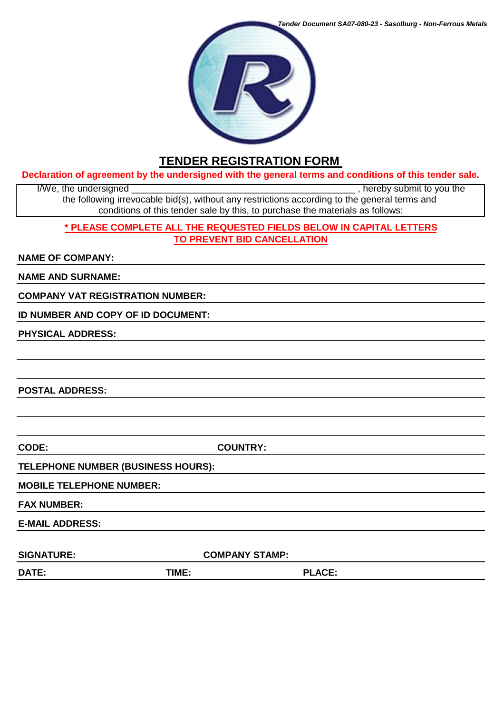

# **TENDER REGISTRATION FORM**

### **Declaration of agreement by the undersigned with the general terms and conditions of this tender sale.**

I/We, the undersigned  $\blacksquare$ the following irrevocable bid(s), without any restrictions according to the general terms and conditions of this tender sale by this, to purchase the materials as follows:

## **\* PLEASE COMPLETE ALL THE REQUESTED FIELDS BELOW IN CAPITAL LETTERS TO PREVENT BID CANCELLATION**

## **NAME OF COMPANY:**

**NAME AND SURNAME:**

**COMPANY VAT REGISTRATION NUMBER:**

**ID NUMBER AND COPY OF ID DOCUMENT:**

**PHYSICAL ADDRESS:**

**POSTAL ADDRESS:**

**CODE: COUNTRY:**

## **TELEPHONE NUMBER (BUSINESS HOURS):**

## **MOBILE TELEPHONE NUMBER:**

**FAX NUMBER:**

**E-MAIL ADDRESS:** 

SIGNATURE: COMPANY STAMP:

**DATE: TIME: PLACE:**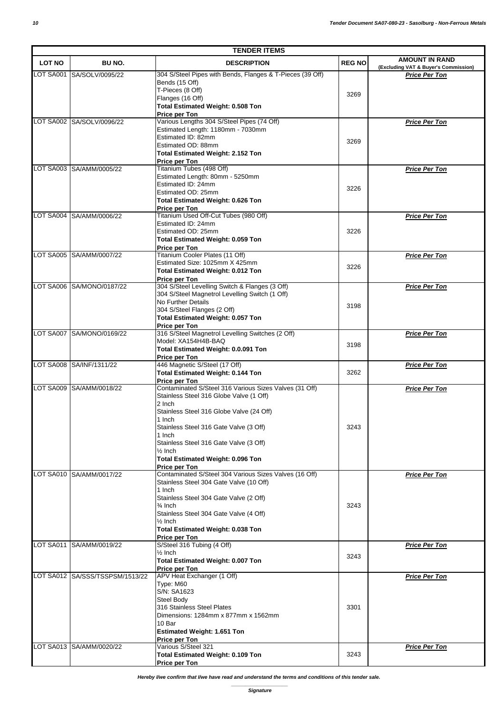| <b>TENDER ITEMS</b> |                                 |                                                                           |               |                                                              |
|---------------------|---------------------------------|---------------------------------------------------------------------------|---------------|--------------------------------------------------------------|
| <b>LOT NO</b>       | BU NO.                          | <b>DESCRIPTION</b>                                                        | <b>REG NO</b> | <b>AMOUNT IN RAND</b>                                        |
|                     | LOT SA001 SA/SOLV/0095/22       | 304 S/Steel Pipes with Bends, Flanges & T-Pieces (39 Off)                 |               | (Excluding VAT & Buyer's Commission)<br><b>Price Per Ton</b> |
|                     |                                 | Bends (15 Off)                                                            |               |                                                              |
|                     |                                 | T-Pieces (8 Off)                                                          | 3269          |                                                              |
|                     |                                 | Flanges (16 Off)                                                          |               |                                                              |
|                     |                                 | <b>Total Estimated Weight: 0.508 Ton</b><br>Price per Ton                 |               |                                                              |
|                     | LOT SA002 SA/SOLV/0096/22       | Various Lengths 304 S/Steel Pipes (74 Off)                                |               | <b>Price Per Ton</b>                                         |
|                     |                                 | Estimated Length: 1180mm - 7030mm                                         |               |                                                              |
|                     |                                 | Estimated ID: 82mm                                                        | 3269          |                                                              |
|                     |                                 | Estimated OD: 88mm                                                        |               |                                                              |
|                     |                                 | <b>Total Estimated Weight: 2.152 Ton</b><br>Price per Ton                 |               |                                                              |
| LOT SA003           | SA/AMM/0005/22                  | Titanium Tubes (498 Off)                                                  |               | <b>Price Per Ton</b>                                         |
|                     |                                 | Estimated Length: 80mm - 5250mm                                           |               |                                                              |
|                     |                                 | Estimated ID: 24mm                                                        | 3226          |                                                              |
|                     |                                 | Estimated OD: 25mm                                                        |               |                                                              |
|                     |                                 | <b>Total Estimated Weight: 0.626 Ton</b>                                  |               |                                                              |
|                     | LOT SA004 SA/AMM/0006/22        | Price per Ton<br>Titanium Used Off-Cut Tubes (980 Off)                    |               | <b>Price Per Ton</b>                                         |
|                     |                                 | Estimated ID: 24mm                                                        |               |                                                              |
|                     |                                 | Estimated OD: 25mm                                                        | 3226          |                                                              |
|                     |                                 | <b>Total Estimated Weight: 0.059 Ton</b>                                  |               |                                                              |
|                     |                                 | Price per Ton                                                             |               |                                                              |
|                     | LOT SA005 SA/AMM/0007/22        | Titanium Cooler Plates (11 Off)<br>Estimated Size: 1025mm X 425mm         |               | <b>Price Per Ton</b>                                         |
|                     |                                 | <b>Total Estimated Weight: 0.012 Ton</b>                                  | 3226          |                                                              |
|                     |                                 | Price per Ton                                                             |               |                                                              |
|                     | LOT SA006 SA/MONO/0187/22       | 304 S/Steel Levelling Switch & Flanges (3 Off)                            |               | <b>Price Per Ton</b>                                         |
|                     |                                 | 304 S/Steel Magnetrol Levelling Switch (1 Off)                            |               |                                                              |
|                     |                                 | No Further Details                                                        | 3198          |                                                              |
|                     |                                 | 304 S/Steel Flanges (2 Off)                                               |               |                                                              |
|                     |                                 | <b>Total Estimated Weight: 0.057 Ton</b><br>Price per Ton                 |               |                                                              |
|                     | LOT SA007 SA/MONO/0169/22       | 316 S/Steel Magnetrol Levelling Switches (2 Off)                          |               | <b>Price Per Ton</b>                                         |
|                     |                                 | Model: XA154H4B-BAQ                                                       | 3198          |                                                              |
|                     |                                 | Total Estimated Weight: 0.0.091 Ton                                       |               |                                                              |
|                     |                                 | Price per Ton                                                             |               |                                                              |
|                     | LOT SA008 SA/INF/1311/22        | 446 Magnetic S/Steel (17 Off)<br><b>Total Estimated Weight: 0.144 Ton</b> | 3262          | <b>Price Per Ton</b>                                         |
|                     |                                 | Price per Ton                                                             |               |                                                              |
|                     | LOT SA009 SA/AMM/0018/22        | Contaminated S/Steel 316 Various Sizes Valves (31 Off)                    |               | <b>Price Per Ton</b>                                         |
|                     |                                 | Stainless Steel 316 Globe Valve (1 Off)                                   |               |                                                              |
|                     |                                 | 2 Inch<br>Stainless Steel 316 Globe Valve (24 Off)                        |               |                                                              |
|                     |                                 | 1 Inch                                                                    |               |                                                              |
|                     |                                 | Stainless Steel 316 Gate Valve (3 Off)                                    | 3243          |                                                              |
|                     |                                 | 1 Inch                                                                    |               |                                                              |
|                     |                                 | Stainless Steel 316 Gate Valve (3 Off)                                    |               |                                                              |
|                     |                                 | $\frac{1}{2}$ Inch                                                        |               |                                                              |
|                     |                                 | <b>Total Estimated Weight: 0.096 Ton</b><br>Price per Ton                 |               |                                                              |
|                     | LOT SA010 SA/AMM/0017/22        | Contaminated S/Steel 304 Various Sizes Valves (16 Off)                    |               | <b>Price Per Ton</b>                                         |
|                     |                                 | Stainless Steel 304 Gate Valve (10 Off)                                   |               |                                                              |
|                     |                                 | 1 Inch                                                                    |               |                                                              |
|                     |                                 | Stainless Steel 304 Gate Valve (2 Off)                                    |               |                                                              |
|                     |                                 | $\frac{3}{4}$ Inch<br>Stainless Steel 304 Gate Valve (4 Off)              | 3243          |                                                              |
|                     |                                 | $\frac{1}{2}$ Inch                                                        |               |                                                              |
|                     |                                 | <b>Total Estimated Weight: 0.038 Ton</b>                                  |               |                                                              |
|                     |                                 | Price per Ton                                                             |               |                                                              |
| LOT SA011           | SA/AMM/0019/22                  | S/Steel 316 Tubing (4 Off)                                                |               | <b>Price Per Ton</b>                                         |
|                     |                                 | $\frac{1}{2}$ Inch                                                        | 3243          |                                                              |
|                     |                                 | <b>Total Estimated Weight: 0.007 Ton</b><br>Price per Ton                 |               |                                                              |
|                     | LOT SA012 SA/SSS/TSSPSM/1513/22 | APV Heat Exchanger (1 Off)                                                |               | <b>Price Per Ton</b>                                         |
|                     |                                 | Type: M60                                                                 |               |                                                              |
|                     |                                 | S/N: SA1623                                                               |               |                                                              |
|                     |                                 | Steel Body                                                                |               |                                                              |
|                     |                                 | 316 Stainless Steel Plates<br>Dimensions: 1284mm x 877mm x 1562mm         | 3301          |                                                              |
|                     |                                 | 10 Bar                                                                    |               |                                                              |
|                     |                                 | <b>Estimated Weight: 1.651 Ton</b>                                        |               |                                                              |
|                     |                                 | Price per Ton                                                             |               |                                                              |
|                     | LOT SA013 SA/AMM/0020/22        | Various S/Steel 321                                                       |               | <b>Price Per Ton</b>                                         |
|                     |                                 | <b>Total Estimated Weight: 0.109 Ton</b>                                  | 3243          |                                                              |
|                     |                                 | Price per Ton                                                             |               |                                                              |

*Hereby I/we confirm that I/we have read and understand the terms and conditions of this tender sale.*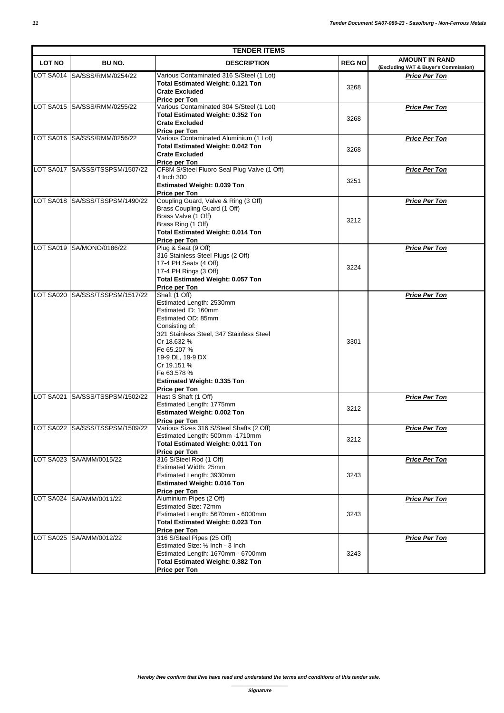| <b>TENDER ITEMS</b> |                                 |                                                                                                                                                                                                                                                                                             |               |                                                               |
|---------------------|---------------------------------|---------------------------------------------------------------------------------------------------------------------------------------------------------------------------------------------------------------------------------------------------------------------------------------------|---------------|---------------------------------------------------------------|
| <b>LOT NO</b>       | BU NO.                          | <b>DESCRIPTION</b>                                                                                                                                                                                                                                                                          | <b>REG NO</b> | <b>AMOUNT IN RAND</b><br>(Excluding VAT & Buyer's Commission) |
|                     | LOT SA014 SA/SSS/RMM/0254/22    | Various Contaminated 316 S/Steel (1 Lot)<br>Total Estimated Weight: 0.121 Ton<br><b>Crate Excluded</b><br>Price per Ton                                                                                                                                                                     | 3268          | <b>Price Per Ton</b>                                          |
|                     | LOT SA015 SA/SSS/RMM/0255/22    | Various Contaminated 304 S/Steel (1 Lot)<br><b>Total Estimated Weight: 0.352 Ton</b><br><b>Crate Excluded</b><br>Price per Ton                                                                                                                                                              | 3268          | <b>Price Per Ton</b>                                          |
|                     | LOT SA016 SA/SSS/RMM/0256/22    | Various Contaminated Aluminium (1 Lot)<br><b>Total Estimated Weight: 0.042 Ton</b><br><b>Crate Excluded</b><br>Price per Ton                                                                                                                                                                | 3268          | <b>Price Per Ton</b>                                          |
|                     | LOT SA017 SA/SSS/TSSPSM/1507/22 | CF8M S/Steel Fluoro Seal Plug Valve (1 Off)<br>4 Inch 300<br>Estimated Weight: 0.039 Ton<br>Price per Ton                                                                                                                                                                                   | 3251          | <b>Price Per Ton</b>                                          |
|                     | LOT SA018 SA/SSS/TSSPSM/1490/22 | Coupling Guard, Valve & Ring (3 Off)<br>Brass Coupling Guard (1 Off)<br>Brass Valve (1 Off)<br>Brass Ring (1 Off)<br><b>Total Estimated Weight: 0.014 Ton</b><br>Price per Ton                                                                                                              | 3212          | <b>Price Per Ton</b>                                          |
|                     | LOT SA019 SA/MONO/0186/22       | Plug & Seat (9 Off)<br>316 Stainless Steel Plugs (2 Off)<br>17-4 PH Seats (4 Off)<br>17-4 PH Rings (3 Off)<br><b>Total Estimated Weight: 0.057 Ton</b><br>Price per Ton                                                                                                                     | 3224          | <b>Price Per Ton</b>                                          |
| LOT SA020           | SA/SSS/TSSPSM/1517/22           | Shaft (1 Off)<br>Estimated Length: 2530mm<br>Estimated ID: 160mm<br>Estimated OD: 85mm<br>Consisting of:<br>321 Stainless Steel, 347 Stainless Steel<br>Cr 18.632 %<br>Fe 65.207 %<br>19-9 DL, 19-9 DX<br>Cr 19.151 %<br>Fe 63.578 %<br><b>Estimated Weight: 0.335 Ton</b><br>Price per Ton | 3301          | <b>Price Per Ton</b>                                          |
|                     | LOT SA021 SA/SSS/TSSPSM/1502/22 | Hast S Shaft (1 Off)<br>Estimated Length: 1775mm<br><b>Estimated Weight: 0.002 Ton</b><br>Price per Ton                                                                                                                                                                                     | 3212          | <b>Price Per Ton</b>                                          |
|                     | LOT SA022 SA/SSS/TSSPSM/1509/22 | Various Sizes 316 S/Steel Shafts (2 Off)<br>Estimated Length: 500mm -1710mm<br><b>Total Estimated Weight: 0.011 Ton</b><br>Price per Ton                                                                                                                                                    | 3212          | <b>Price Per Ton</b>                                          |
|                     | LOT SA023 SA/AMM/0015/22        | 316 S/Steel Rod (1 Off)<br>Estimated Width: 25mm<br>Estimated Length: 3930mm<br><b>Estimated Weight: 0.016 Ton</b><br>Price per Ton                                                                                                                                                         | 3243          | <b>Price Per Ton</b>                                          |
|                     | LOT SA024 SA/AMM/0011/22        | Aluminium Pipes (2 Off)<br>Estimated Size: 72mm<br>Estimated Length: 5670mm - 6000mm<br><b>Total Estimated Weight: 0.023 Ton</b><br>Price per Ton                                                                                                                                           | 3243          | <b>Price Per Ton</b>                                          |
|                     | LOT SA025 SA/AMM/0012/22        | 316 S/Steel Pipes (25 Off)<br>Estimated Size: 1/2 Inch - 3 Inch<br>Estimated Length: 1670mm - 6700mm<br><b>Total Estimated Weight: 0.382 Ton</b><br>Price per Ton                                                                                                                           | 3243          | Price Per Ton                                                 |